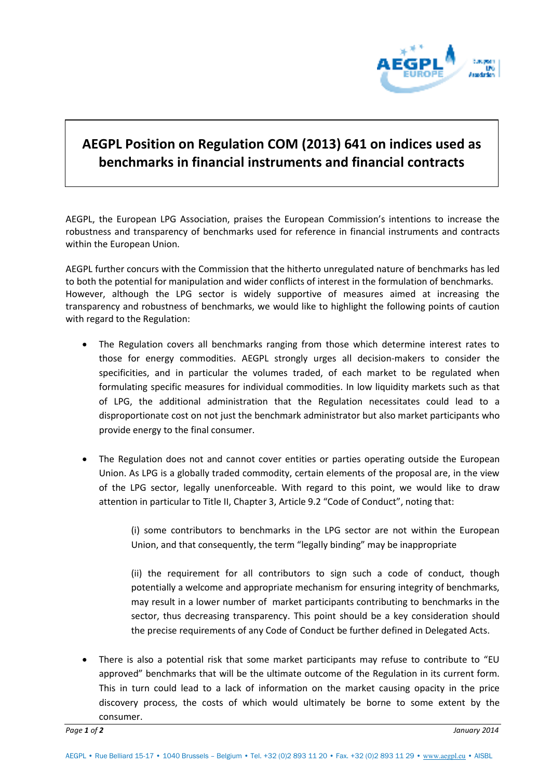

## **AEGPL Position on Regulation COM (2013) 641 on indices used as benchmarks in financial instruments and financial contracts**

AEGPL, the European LPG Association, praises the European Commission's intentions to increase the robustness and transparency of benchmarks used for reference in financial instruments and contracts within the European Union.

AEGPL further concurs with the Commission that the hitherto unregulated nature of benchmarks has led to both the potential for manipulation and wider conflicts of interest in the formulation of benchmarks. However, although the LPG sector is widely supportive of measures aimed at increasing the transparency and robustness of benchmarks, we would like to highlight the following points of caution with regard to the Regulation:

- The Regulation covers all benchmarks ranging from those which determine interest rates to those for energy commodities. AEGPL strongly urges all decision-makers to consider the specificities, and in particular the volumes traded, of each market to be regulated when formulating specific measures for individual commodities. In low liquidity markets such as that of LPG, the additional administration that the Regulation necessitates could lead to a disproportionate cost on not just the benchmark administrator but also market participants who provide energy to the final consumer.
- The Regulation does not and cannot cover entities or parties operating outside the European Union. As LPG is a globally traded commodity, certain elements of the proposal are, in the view of the LPG sector, legally unenforceable. With regard to this point, we would like to draw attention in particular to Title II, Chapter 3, Article 9.2 "Code of Conduct", noting that:

(i) some contributors to benchmarks in the LPG sector are not within the European Union, and that consequently, the term "legally binding" may be inappropriate

(ii) the requirement for all contributors to sign such a code of conduct, though potentially a welcome and appropriate mechanism for ensuring integrity of benchmarks, may result in a lower number of market participants contributing to benchmarks in the sector, thus decreasing transparency. This point should be a key consideration should the precise requirements of any Code of Conduct be further defined in Delegated Acts.

 There is also a potential risk that some market participants may refuse to contribute to "EU approved" benchmarks that will be the ultimate outcome of the Regulation in its current form. This in turn could lead to a lack of information on the market causing opacity in the price discovery process, the costs of which would ultimately be borne to some extent by the consumer.